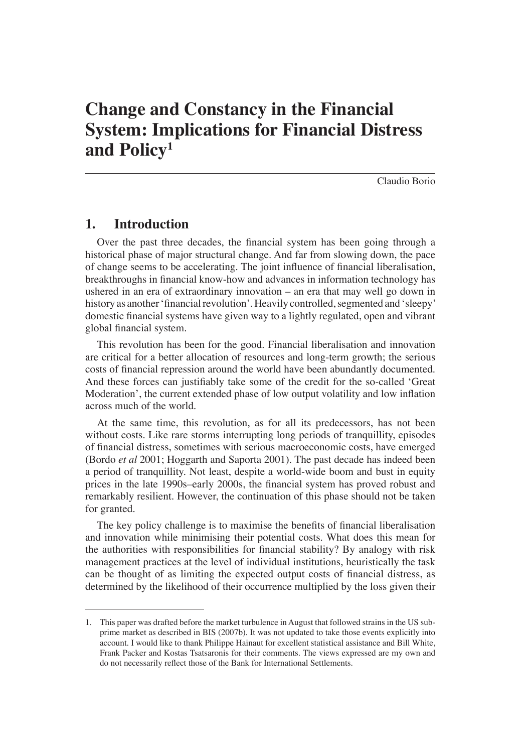# **Change and Constancy in the Financial System: Implications for Financial Distress and Policy1**

Claudio Borio

# **1. Introduction**

Over the past three decades, the financial system has been going through a historical phase of major structural change. And far from slowing down, the pace of change seems to be accelerating. The joint influence of financial liberalisation, breakthroughs in financial know-how and advances in information technology has ushered in an era of extraordinary innovation – an era that may well go down in history as another 'financial revolution'. Heavily controlled, segmented and 'sleepy' domestic financial systems have given way to a lightly regulated, open and vibrant global financial system.

This revolution has been for the good. Financial liberalisation and innovation are critical for a better allocation of resources and long-term growth; the serious costs of financial repression around the world have been abundantly documented. And these forces can justifiably take some of the credit for the so-called 'Great Moderation', the current extended phase of low output volatility and low inflation across much of the world.

At the same time, this revolution, as for all its predecessors, has not been without costs. Like rare storms interrupting long periods of tranquillity, episodes of financial distress, sometimes with serious macroeconomic costs, have emerged (Bordo *et al* 2001; Hoggarth and Saporta 2001). The past decade has indeed been a period of tranquillity. Not least, despite a world-wide boom and bust in equity prices in the late 1990s–early 2000s, the financial system has proved robust and remarkably resilient. However, the continuation of this phase should not be taken for granted.

The key policy challenge is to maximise the benefits of financial liberalisation and innovation while minimising their potential costs. What does this mean for the authorities with responsibilities for financial stability? By analogy with risk management practices at the level of individual institutions, heuristically the task can be thought of as limiting the expected output costs of financial distress, as determined by the likelihood of their occurrence multiplied by the loss given their

<sup>1.</sup> This paper was drafted before the market turbulence in August that followed strains in the US subprime market as described in BIS (2007b). It was not updated to take those events explicitly into account. I would like to thank Philippe Hainaut for excellent statistical assistance and Bill White, Frank Packer and Kostas Tsatsaronis for their comments. The views expressed are my own and do not necessarily reflect those of the Bank for International Settlements.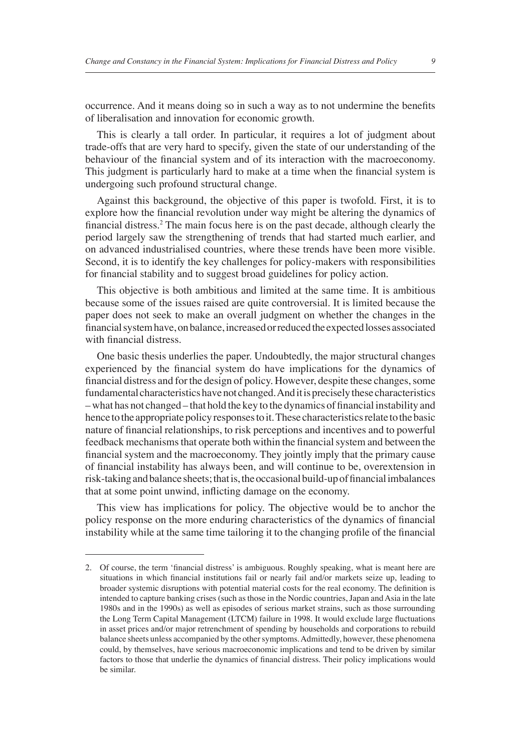occurrence. And it means doing so in such a way as to not undermine the benefits of liberalisation and innovation for economic growth.

This is clearly a tall order. In particular, it requires a lot of judgment about trade-offs that are very hard to specify, given the state of our understanding of the behaviour of the financial system and of its interaction with the macroeconomy. This judgment is particularly hard to make at a time when the financial system is undergoing such profound structural change.

Against this background, the objective of this paper is twofold. First, it is to explore how the financial revolution under way might be altering the dynamics of financial distress.<sup>2</sup> The main focus here is on the past decade, although clearly the period largely saw the strengthening of trends that had started much earlier, and on advanced industrialised countries, where these trends have been more visible. Second, it is to identify the key challenges for policy-makers with responsibilities for financial stability and to suggest broad guidelines for policy action.

This objective is both ambitious and limited at the same time. It is ambitious because some of the issues raised are quite controversial. It is limited because the paper does not seek to make an overall judgment on whether the changes in the financial system have, on balance, increased or reduced the expected losses associated with financial distress.

One basic thesis underlies the paper. Undoubtedly, the major structural changes experienced by the financial system do have implications for the dynamics of financial distress and for the design of policy. However, despite these changes, some fundamental characteristics have not changed. And it is precisely these characteristics – what has not changed – that hold the key to the dynamics of financial instability and hence to the appropriate policy responses to it. These characteristics relate to the basic nature of financial relationships, to risk perceptions and incentives and to powerful feedback mechanisms that operate both within the financial system and between the financial system and the macroeconomy. They jointly imply that the primary cause of financial instability has always been, and will continue to be, overextension in risk-taking and balance sheets; that is, the occasional build-up of financial imbalances that at some point unwind, inflicting damage on the economy.

This view has implications for policy. The objective would be to anchor the policy response on the more enduring characteristics of the dynamics of financial instability while at the same time tailoring it to the changing profile of the financial

<sup>2.</sup> Of course, the term 'financial distress' is ambiguous. Roughly speaking, what is meant here are situations in which financial institutions fail or nearly fail and/or markets seize up, leading to broader systemic disruptions with potential material costs for the real economy. The definition is intended to capture banking crises (such as those in the Nordic countries, Japan and Asia in the late 1980s and in the 1990s) as well as episodes of serious market strains, such as those surrounding the Long Term Capital Management (LTCM) failure in 1998. It would exclude large fluctuations in asset prices and/or major retrenchment of spending by households and corporations to rebuild balance sheets unless accompanied by the other symptoms. Admittedly, however, these phenomena could, by themselves, have serious macroeconomic implications and tend to be driven by similar factors to those that underlie the dynamics of financial distress. Their policy implications would be similar.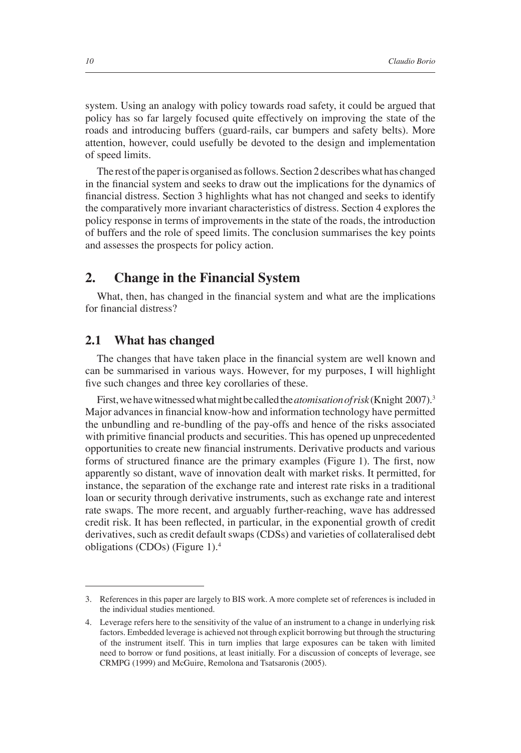system. Using an analogy with policy towards road safety, it could be argued that policy has so far largely focused quite effectively on improving the state of the roads and introducing buffers (guard-rails, car bumpers and safety belts). More attention, however, could usefully be devoted to the design and implementation of speed limits.

The rest of the paper is organised as follows. Section 2 describes what has changed in the financial system and seeks to draw out the implications for the dynamics of financial distress. Section 3 highlights what has not changed and seeks to identify the comparatively more invariant characteristics of distress. Section 4 explores the policy response in terms of improvements in the state of the roads, the introduction of buffers and the role of speed limits. The conclusion summarises the key points and assesses the prospects for policy action.

#### **2. Change in the Financial System**

What, then, has changed in the financial system and what are the implications for financial distress?

#### **2.1 What has changed**

The changes that have taken place in the financial system are well known and can be summarised in various ways. However, for my purposes, I will highlight five such changes and three key corollaries of these.

First, we have witnessed what might be called the *atomisation of risk* (Knight 2007).3 Major advances in financial know-how and information technology have permitted the unbundling and re-bundling of the pay-offs and hence of the risks associated with primitive financial products and securities. This has opened up unprecedented opportunities to create new financial instruments. Derivative products and various forms of structured finance are the primary examples (Figure 1). The first, now apparently so distant, wave of innovation dealt with market risks. It permitted, for instance, the separation of the exchange rate and interest rate risks in a traditional loan or security through derivative instruments, such as exchange rate and interest rate swaps. The more recent, and arguably further-reaching, wave has addressed credit risk. It has been reflected, in particular, in the exponential growth of credit derivatives, such as credit default swaps (CDSs) and varieties of collateralised debt obligations (CDOs) (Figure 1).4

<sup>3.</sup> References in this paper are largely to BIS work. A more complete set of references is included in the individual studies mentioned.

<sup>4.</sup> Leverage refers here to the sensitivity of the value of an instrument to a change in underlying risk factors. Embedded leverage is achieved not through explicit borrowing but through the structuring of the instrument itself. This in turn implies that large exposures can be taken with limited need to borrow or fund positions, at least initially. For a discussion of concepts of leverage, see CRMPG (1999) and McGuire, Remolona and Tsatsaronis (2005).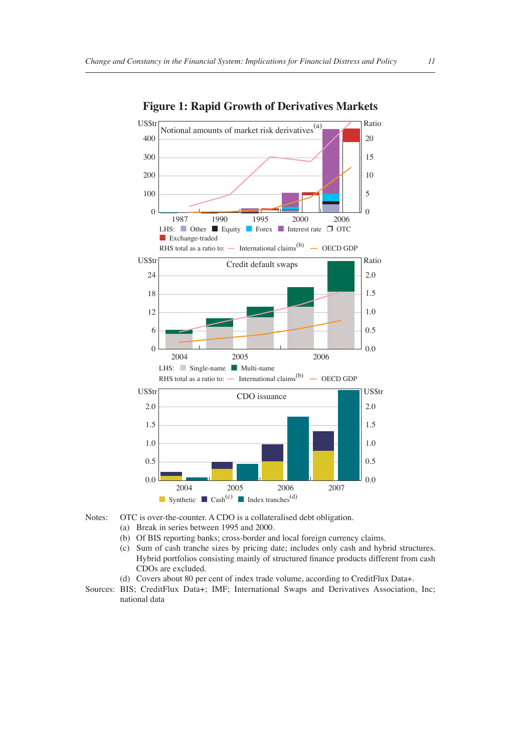

**Figure 1: Rapid Growth of Derivatives Markets**

- Notes: OTC is over-the-counter. A CDO is a collateralised debt obligation.
	- (a) Break in series between 1995 and 2000.
	- (b) Of BIS reporting banks; cross-border and local foreign currency claims.
	- (c) Sum of cash tranche sizes by pricing date; includes only cash and hybrid structures. Hybrid portfolios consisting mainly of structured finance products different from cash CDOs are excluded.
	- (d) Covers about 80 per cent of index trade volume, according to CreditFlux Data+.
- Sources: BIS; CreditFlux Data+; IMF; International Swaps and Derivatives Association, Inc; national data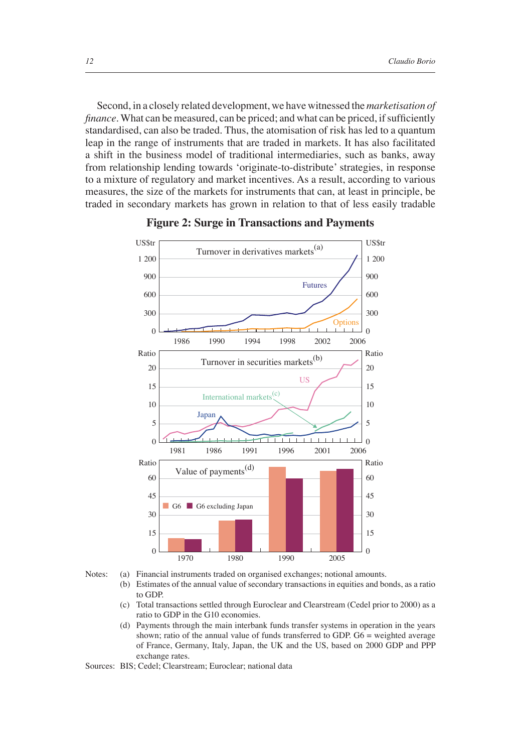Second, in a closely related development, we have witnessed the *marketisation of finance*. What can be measured, can be priced; and what can be priced, if sufficiently standardised, can also be traded. Thus, the atomisation of risk has led to a quantum leap in the range of instruments that are traded in markets. It has also facilitated a shift in the business model of traditional intermediaries, such as banks, away from relationship lending towards 'originate-to-distribute' strategies, in response to a mixture of regulatory and market incentives. As a result, according to various measures, the size of the markets for instruments that can, at least in principle, be traded in secondary markets has grown in relation to that of less easily tradable





Notes: (a) Financial instruments traded on organised exchanges; notional amounts. Estimates of the annual value of secondary transactions in equities and bonds, as a ratio to GDP.

- (c) Total transactions settled through Euroclear and Clearstream (Cedel prior to 2000) as a ratio to GDP in the G10 economies.
- (d) Payments through the main interbank funds transfer systems in operation in the years shown; ratio of the annual value of funds transferred to GDP. G6 = weighted average of France, Germany, Italy, Japan, the UK and the US, based on 2000 GDP and PPP exchange rates.

Sources: BIS; Cedel; Clearstream; Euroclear; national data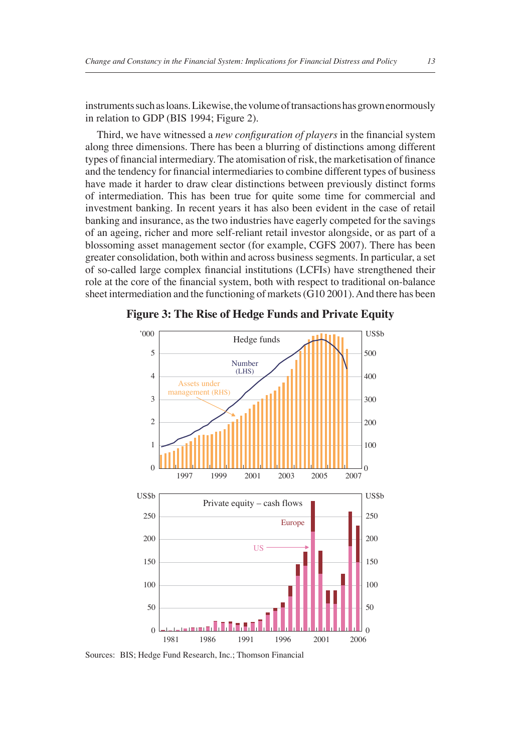instruments such as loans. Likewise, the volume of transactions has grown enormously in relation to GDP (BIS 1994; Figure 2).

Third, we have witnessed a *new configuration of players* in the financial system along three dimensions. There has been a blurring of distinctions among different types of financial intermediary. The atomisation of risk, the marketisation of finance and the tendency for financial intermediaries to combine different types of business have made it harder to draw clear distinctions between previously distinct forms of intermediation. This has been true for quite some time for commercial and investment banking. In recent years it has also been evident in the case of retail banking and insurance, as the two industries have eagerly competed for the savings of an ageing, richer and more self-reliant retail investor alongside, or as part of a blossoming asset management sector (for example, CGFS 2007). There has been greater consolidation, both within and across business segments. In particular, a set of so-called large complex financial institutions (LCFIs) have strengthened their role at the core of the financial system, both with respect to traditional on-balance sheet intermediation and the functioning of markets (G10 2001). And there has been



**Figure 3: The Rise of Hedge Funds and Private Equity**

Sources: BIS; Hedge Fund Research, Inc.; Thomson Financial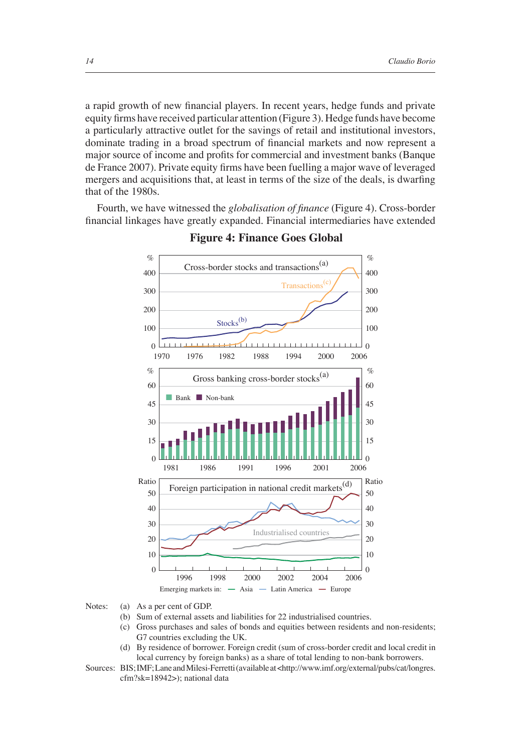a rapid growth of new financial players. In recent years, hedge funds and private equity firms have received particular attention (Figure 3). Hedge funds have become a particularly attractive outlet for the savings of retail and institutional investors, dominate trading in a broad spectrum of financial markets and now represent a major source of income and profits for commercial and investment banks (Banque de France 2007). Private equity firms have been fuelling a major wave of leveraged mergers and acquisitions that, at least in terms of the size of the deals, is dwarfing that of the 1980s.

Fourth, we have witnessed the *globalisation of finance* (Figure 4). Cross-border financial linkages have greatly expanded. Financial intermediaries have extended



#### **Figure 4: Finance Goes Global**

- (b) Sum of external assets and liabilities for 22 industrialised countries.
- (c) Gross purchases and sales of bonds and equities between residents and non-residents; G7 countries excluding the UK.
- (d) By residence of borrower. Foreign credit (sum of cross-border credit and local credit in local currency by foreign banks) as a share of total lending to non-bank borrowers.

Notes: (a) As a per cent of GDP.

Sources: BIS; IMF; Lane and Milesi-Ferretti (available at <http://www.imf.org/external/pubs/cat/longres. cfm?sk=18942>); national data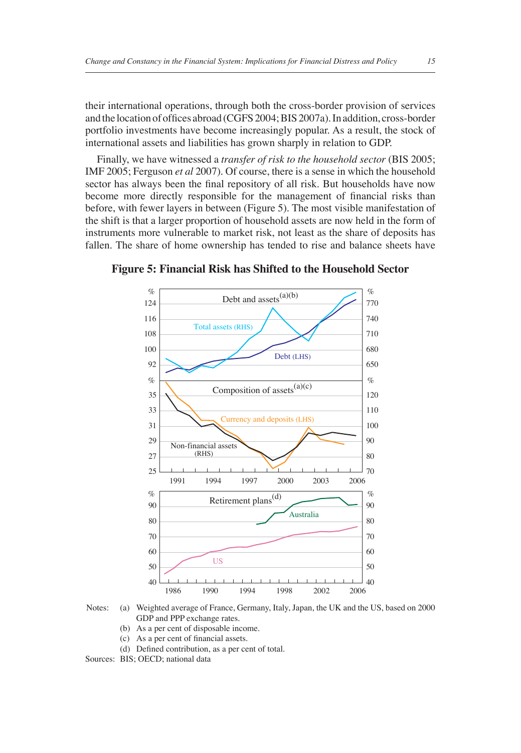their international operations, through both the cross-border provision of services and the location of offices abroad (CGFS 2004; BIS 2007a). In addition, cross-border portfolio investments have become increasingly popular. As a result, the stock of international assets and liabilities has grown sharply in relation to GDP.

Finally, we have witnessed a *transfer of risk to the household sector* (BIS 2005; IMF 2005; Ferguson *et al* 2007). Of course, there is a sense in which the household sector has always been the final repository of all risk. But households have now become more directly responsible for the management of financial risks than before, with fewer layers in between (Figure 5). The most visible manifestation of the shift is that a larger proportion of household assets are now held in the form of instruments more vulnerable to market risk, not least as the share of deposits has fallen. The share of home ownership has tended to rise and balance sheets have



**Figure 5: Financial Risk has Shifted to the Household Sector**

- Notes: (a) Weighted average of France, Germany, Italy, Japan, the UK and the US, based on 2000 GDP and PPP exchange rates.
	- (b) As a per cent of disposable income.
	- $(c)$  As a per cent of financial assets.
	- (d) Defined contribution, as a per cent of total.

Sources: BIS; OECD; national data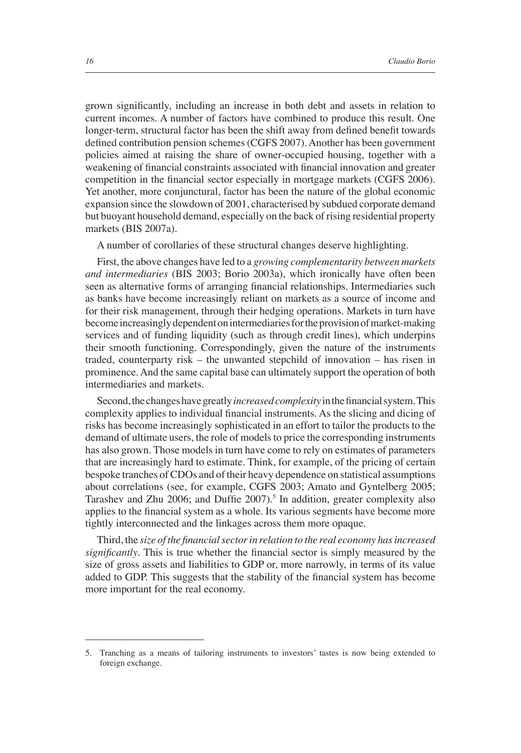grown significantly, including an increase in both debt and assets in relation to current incomes. A number of factors have combined to produce this result. One longer-term, structural factor has been the shift away from defined benefit towards defined contribution pension schemes (CGFS 2007). Another has been government policies aimed at raising the share of owner-occupied housing, together with a weakening of financial constraints associated with financial innovation and greater competition in the financial sector especially in mortgage markets (CGFS 2006). Yet another, more conjunctural, factor has been the nature of the global economic expansion since the slowdown of 2001, characterised by subdued corporate demand but buoyant household demand, especially on the back of rising residential property markets (BIS 2007a).

A number of corollaries of these structural changes deserve highlighting.

First, the above changes have led to a *growing complementarity between markets and intermediaries* (BIS 2003; Borio 2003a), which ironically have often been seen as alternative forms of arranging financial relationships. Intermediaries such as banks have become increasingly reliant on markets as a source of income and for their risk management, through their hedging operations. Markets in turn have become increasingly dependent on intermediaries for the provision of market-making services and of funding liquidity (such as through credit lines), which underpins their smooth functioning. Correspondingly, given the nature of the instruments traded, counterparty risk – the unwanted stepchild of innovation – has risen in prominence. And the same capital base can ultimately support the operation of both intermediaries and markets.

Second, the changes have greatly *increased complexity* in the financial system. This complexity applies to individual financial instruments. As the slicing and dicing of risks has become increasingly sophisticated in an effort to tailor the products to the demand of ultimate users, the role of models to price the corresponding instruments has also grown. Those models in turn have come to rely on estimates of parameters that are increasingly hard to estimate. Think, for example, of the pricing of certain bespoke tranches of CDOs and of their heavy dependence on statistical assumptions about correlations (see, for example, CGFS 2003; Amato and Gyntelberg 2005; Tarashev and Zhu 2006; and Duffie 2007).<sup>5</sup> In addition, greater complexity also applies to the financial system as a whole. Its various segments have become more tightly interconnected and the linkages across them more opaque.

Third, the *size* of the financial sector in relation to the real economy has increased *significantly*. This is true whether the financial sector is simply measured by the size of gross assets and liabilities to GDP or, more narrowly, in terms of its value added to GDP. This suggests that the stability of the financial system has become more important for the real economy.

<sup>5.</sup> Tranching as a means of tailoring instruments to investors' tastes is now being extended to foreign exchange.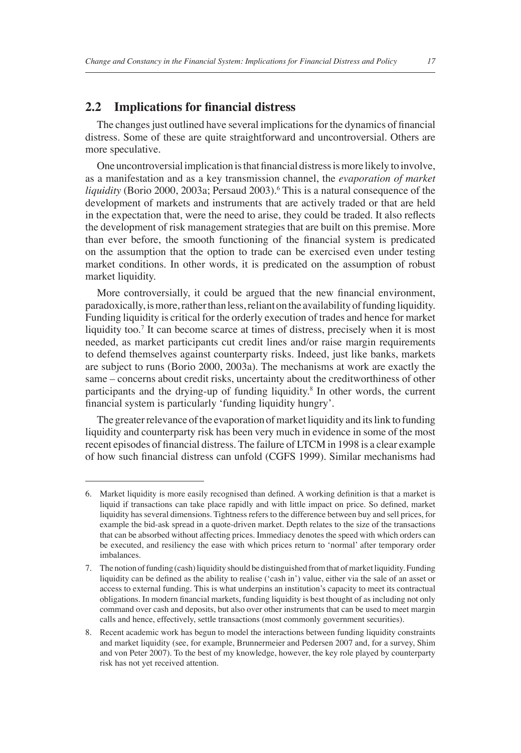## **2.2** Implications for financial distress

The changes just outlined have several implications for the dynamics of financial distress. Some of these are quite straightforward and uncontroversial. Others are more speculative.

One uncontroversial implication is that financial distress is more likely to involve, as a manifestation and as a key transmission channel, the *evaporation of market*  liquidity (Borio 2000, 2003a; Persaud 2003).<sup>6</sup> This is a natural consequence of the development of markets and instruments that are actively traded or that are held in the expectation that, were the need to arise, they could be traded. It also reflects the development of risk management strategies that are built on this premise. More than ever before, the smooth functioning of the financial system is predicated on the assumption that the option to trade can be exercised even under testing market conditions. In other words, it is predicated on the assumption of robust market liquidity.

More controversially, it could be argued that the new financial environment, paradoxically, is more, rather than less, reliant on the availability of funding liquidity. Funding liquidity is critical for the orderly execution of trades and hence for market liquidity too.<sup>7</sup> It can become scarce at times of distress, precisely when it is most needed, as market participants cut credit lines and/or raise margin requirements to defend themselves against counterparty risks. Indeed, just like banks, markets are subject to runs (Borio 2000, 2003a). The mechanisms at work are exactly the same – concerns about credit risks, uncertainty about the creditworthiness of other participants and the drying-up of funding liquidity.<sup>8</sup> In other words, the current financial system is particularly 'funding liquidity hungry'.

The greater relevance of the evaporation of market liquidity and its link to funding liquidity and counterparty risk has been very much in evidence in some of the most recent episodes of financial distress. The failure of LTCM in 1998 is a clear example of how such financial distress can unfold (CGFS 1999). Similar mechanisms had

<sup>6.</sup> Market liquidity is more easily recognised than defined. A working definition is that a market is liquid if transactions can take place rapidly and with little impact on price. So defined, market liquidity has several dimensions. Tightness refers to the difference between buy and sell prices, for example the bid-ask spread in a quote-driven market. Depth relates to the size of the transactions that can be absorbed without affecting prices. Immediacy denotes the speed with which orders can be executed, and resiliency the ease with which prices return to 'normal' after temporary order imbalances.

<sup>7.</sup> The notion of funding (cash) liquidity should be distinguished from that of market liquidity. Funding liquidity can be defined as the ability to realise ('cash in') value, either via the sale of an asset or access to external funding. This is what underpins an institution's capacity to meet its contractual obligations. In modern financial markets, funding liquidity is best thought of as including not only command over cash and deposits, but also over other instruments that can be used to meet margin calls and hence, effectively, settle transactions (most commonly government securities).

<sup>8.</sup> Recent academic work has begun to model the interactions between funding liquidity constraints and market liquidity (see, for example, Brunnermeier and Pedersen 2007 and, for a survey, Shim and von Peter 2007). To the best of my knowledge, however, the key role played by counterparty risk has not yet received attention.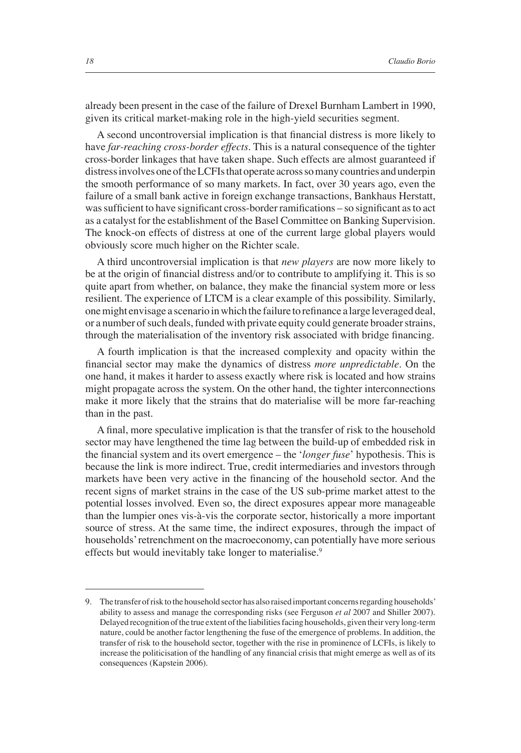already been present in the case of the failure of Drexel Burnham Lambert in 1990, given its critical market-making role in the high-yield securities segment.

A second uncontroversial implication is that financial distress is more likely to have *far-reaching cross-border effects*. This is a natural consequence of the tighter cross-border linkages that have taken shape. Such effects are almost guaranteed if distress involves one of the LCFIs that operate across so many countries and underpin the smooth performance of so many markets. In fact, over 30 years ago, even the failure of a small bank active in foreign exchange transactions, Bankhaus Herstatt, was sufficient to have significant cross-border ramifications – so significant as to act as a catalyst for the establishment of the Basel Committee on Banking Supervision. The knock-on effects of distress at one of the current large global players would obviously score much higher on the Richter scale.

A third uncontroversial implication is that *new players* are now more likely to be at the origin of financial distress and/or to contribute to amplifying it. This is so quite apart from whether, on balance, they make the financial system more or less resilient. The experience of LTCM is a clear example of this possibility. Similarly, one might envisage a scenario in which the failure to refinance a large leveraged deal, or a number of such deals, funded with private equity could generate broader strains, through the materialisation of the inventory risk associated with bridge financing.

A fourth implication is that the increased complexity and opacity within the financial sector may make the dynamics of distress *more unpredictable*. On the one hand, it makes it harder to assess exactly where risk is located and how strains might propagate across the system. On the other hand, the tighter interconnections make it more likely that the strains that do materialise will be more far-reaching than in the past.

A final, more speculative implication is that the transfer of risk to the household sector may have lengthened the time lag between the build-up of embedded risk in the financial system and its overt emergence – the '*longer fuse*' hypothesis. This is because the link is more indirect. True, credit intermediaries and investors through markets have been very active in the financing of the household sector. And the recent signs of market strains in the case of the US sub-prime market attest to the potential losses involved. Even so, the direct exposures appear more manageable than the lumpier ones vis-à-vis the corporate sector, historically a more important source of stress. At the same time, the indirect exposures, through the impact of households' retrenchment on the macroeconomy, can potentially have more serious effects but would inevitably take longer to materialise.<sup>9</sup>

<sup>9.</sup> The transfer of risk to the household sector has also raised important concerns regarding households' ability to assess and manage the corresponding risks (see Ferguson *et al* 2007 and Shiller 2007). Delayed recognition of the true extent of the liabilities facing households, given their very long-term nature, could be another factor lengthening the fuse of the emergence of problems. In addition, the transfer of risk to the household sector, together with the rise in prominence of LCFIs, is likely to increase the politicisation of the handling of any financial crisis that might emerge as well as of its consequences (Kapstein 2006).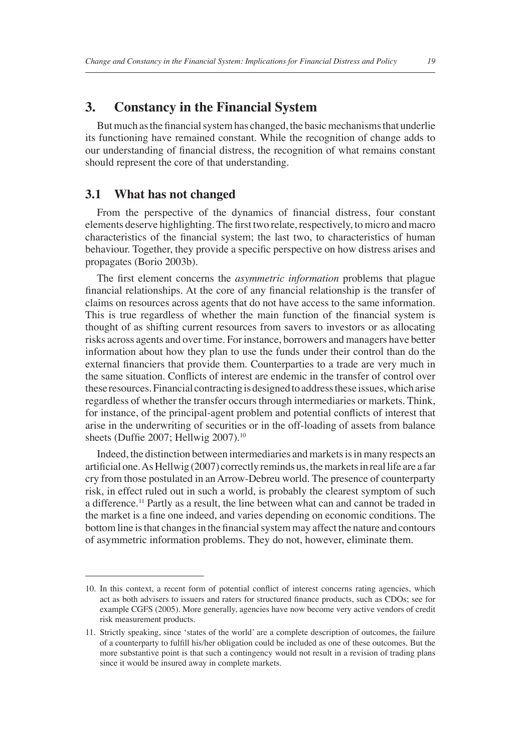# **3. Constancy in the Financial System**

But much as the financial system has changed, the basic mechanisms that underlie its functioning have remained constant. While the recognition of change adds to our understanding of financial distress, the recognition of what remains constant should represent the core of that understanding.

#### **3.1 What has not changed**

From the perspective of the dynamics of financial distress, four constant elements deserve highlighting. The first two relate, respectively, to micro and macro characteristics of the financial system; the last two, to characteristics of human behaviour. Together, they provide a specific perspective on how distress arises and propagates (Borio 2003b).

The first element concerns the *asymmetric information* problems that plague financial relationships. At the core of any financial relationship is the transfer of claims on resources across agents that do not have access to the same information. This is true regardless of whether the main function of the financial system is thought of as shifting current resources from savers to investors or as allocating risks across agents and over time. For instance, borrowers and managers have better information about how they plan to use the funds under their control than do the external financiers that provide them. Counterparties to a trade are very much in the same situation. Conflicts of interest are endemic in the transfer of control over these resources. Financial contracting is designed to address these issues, which arise regardless of whether the transfer occurs through intermediaries or markets. Think, for instance, of the principal-agent problem and potential conflicts of interest that arise in the underwriting of securities or in the off-loading of assets from balance sheets (Duffie 2007; Hellwig 2007).<sup>10</sup>

Indeed, the distinction between intermediaries and markets is in many respects an artificial one. As Hellwig (2007) correctly reminds us, the markets in real life are a far cry from those postulated in an Arrow-Debreu world. The presence of counterparty risk, in effect ruled out in such a world, is probably the clearest symptom of such a difference.11 Partly as a result, the line between what can and cannot be traded in the market is a fine one indeed, and varies depending on economic conditions. The bottom line is that changes in the financial system may affect the nature and contours of asymmetric information problems. They do not, however, eliminate them.

<sup>10.</sup> In this context, a recent form of potential conflict of interest concerns rating agencies, which act as both advisers to issuers and raters for structured finance products, such as CDOs; see for example CGFS (2005). More generally, agencies have now become very active vendors of credit risk measurement products.

<sup>11.</sup> Strictly speaking, since 'states of the world' are a complete description of outcomes, the failure of a counterparty to fulfill his/her obligation could be included as one of these outcomes. But the more substantive point is that such a contingency would not result in a revision of trading plans since it would be insured away in complete markets.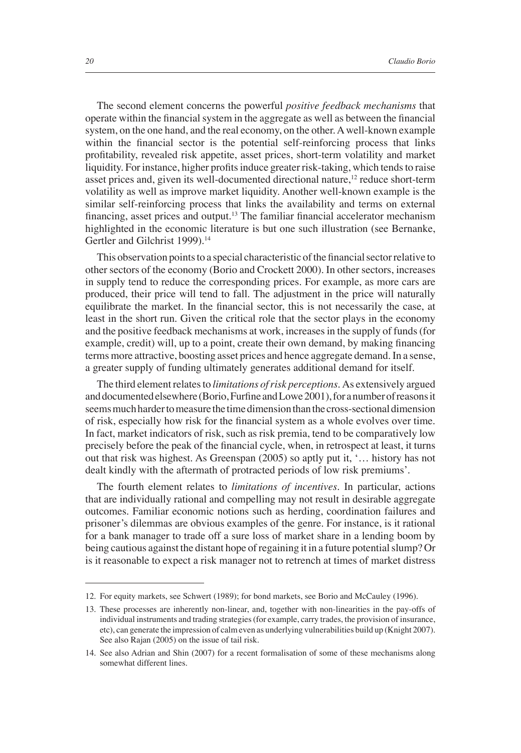The second element concerns the powerful *positive feedback mechanisms* that operate within the financial system in the aggregate as well as between the financial system, on the one hand, and the real economy, on the other. A well-known example within the financial sector is the potential self-reinforcing process that links profi tability, revealed risk appetite, asset prices, short-term volatility and market liquidity. For instance, higher profits induce greater risk-taking, which tends to raise asset prices and, given its well-documented directional nature,<sup>12</sup> reduce short-term volatility as well as improve market liquidity. Another well-known example is the similar self-reinforcing process that links the availability and terms on external financing, asset prices and output.<sup>13</sup> The familiar financial accelerator mechanism highlighted in the economic literature is but one such illustration (see Bernanke, Gertler and Gilchrist 1999).<sup>14</sup>

This observation points to a special characteristic of the financial sector relative to other sectors of the economy (Borio and Crockett 2000). In other sectors, increases in supply tend to reduce the corresponding prices. For example, as more cars are produced, their price will tend to fall. The adjustment in the price will naturally equilibrate the market. In the financial sector, this is not necessarily the case, at least in the short run. Given the critical role that the sector plays in the economy and the positive feedback mechanisms at work, increases in the supply of funds (for example, credit) will, up to a point, create their own demand, by making financing terms more attractive, boosting asset prices and hence aggregate demand. In a sense, a greater supply of funding ultimately generates additional demand for itself.

The third element relates to *limitations of risk perceptions.* As extensively argued and documented elsewhere (Borio, Furfine and Lowe 2001), for a number of reasons it seems much harder to measure the time dimension than the cross-sectional dimension of risk, especially how risk for the financial system as a whole evolves over time. In fact, market indicators of risk, such as risk premia, tend to be comparatively low precisely before the peak of the financial cycle, when, in retrospect at least, it turns out that risk was highest. As Greenspan (2005) so aptly put it, '… history has not dealt kindly with the aftermath of protracted periods of low risk premiums'.

The fourth element relates to *limitations of incentives*. In particular, actions that are individually rational and compelling may not result in desirable aggregate outcomes. Familiar economic notions such as herding, coordination failures and prisoner's dilemmas are obvious examples of the genre. For instance, is it rational for a bank manager to trade off a sure loss of market share in a lending boom by being cautious against the distant hope of regaining it in a future potential slump? Or is it reasonable to expect a risk manager not to retrench at times of market distress

<sup>12.</sup> For equity markets, see Schwert (1989); for bond markets, see Borio and McCauley (1996).

<sup>13.</sup> These processes are inherently non-linear, and, together with non-linearities in the pay-offs of individual instruments and trading strategies (for example, carry trades, the provision of insurance, etc), can generate the impression of calm even as underlying vulnerabilities build up (Knight 2007). See also Rajan (2005) on the issue of tail risk.

<sup>14.</sup> See also Adrian and Shin (2007) for a recent formalisation of some of these mechanisms along somewhat different lines.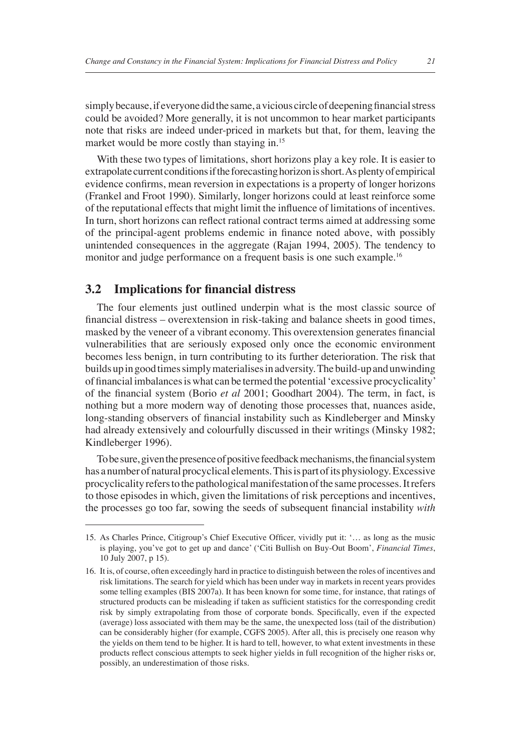simply because, if everyone did the same, a vicious circle of deepening financial stress could be avoided? More generally, it is not uncommon to hear market participants note that risks are indeed under-priced in markets but that, for them, leaving the market would be more costly than staying in.<sup>15</sup>

With these two types of limitations, short horizons play a key role. It is easier to extrapolate current conditions if the forecasting horizon is short. As plenty of empirical evidence confirms, mean reversion in expectations is a property of longer horizons (Frankel and Froot 1990). Similarly, longer horizons could at least reinforce some of the reputational effects that might limit the influence of limitations of incentives. In turn, short horizons can reflect rational contract terms aimed at addressing some of the principal-agent problems endemic in finance noted above, with possibly unintended consequences in the aggregate (Rajan 1994, 2005). The tendency to monitor and judge performance on a frequent basis is one such example.<sup>16</sup>

#### **3.2** Implications for financial distress

The four elements just outlined underpin what is the most classic source of financial distress – overextension in risk-taking and balance sheets in good times, masked by the veneer of a vibrant economy. This overextension generates financial vulnerabilities that are seriously exposed only once the economic environment becomes less benign, in turn contributing to its further deterioration. The risk that builds up in good times simply materialises in adversity. The build-up and unwinding of financial imbalances is what can be termed the potential 'excessive procyclicality' of the financial system (Borio *et al* 2001; Goodhart 2004). The term, in fact, is nothing but a more modern way of denoting those processes that, nuances aside, long-standing observers of financial instability such as Kindleberger and Minsky had already extensively and colourfully discussed in their writings (Minsky 1982; Kindleberger 1996).

To be sure, given the presence of positive feedback mechanisms, the financial system has a number of natural procyclical elements. This is part of its physiology. Excessive procyclicality refers to the pathological manifestation of the same processes. It refers to those episodes in which, given the limitations of risk perceptions and incentives, the processes go too far, sowing the seeds of subsequent financial instability with

<sup>15.</sup> As Charles Prince, Citigroup's Chief Executive Officer, vividly put it: '... as long as the music is playing, you've got to get up and dance' ('Citi Bullish on Buy-Out Boom', *Financial Times*, 10 July 2007, p 15).

<sup>16.</sup> It is, of course, often exceedingly hard in practice to distinguish between the roles of incentives and risk limitations. The search for yield which has been under way in markets in recent years provides some telling examples (BIS 2007a). It has been known for some time, for instance, that ratings of structured products can be misleading if taken as sufficient statistics for the corresponding credit risk by simply extrapolating from those of corporate bonds. Specifically, even if the expected (average) loss associated with them may be the same, the unexpected loss (tail of the distribution) can be considerably higher (for example, CGFS 2005). After all, this is precisely one reason why the yields on them tend to be higher. It is hard to tell, however, to what extent investments in these products reflect conscious attempts to seek higher yields in full recognition of the higher risks or, possibly, an underestimation of those risks.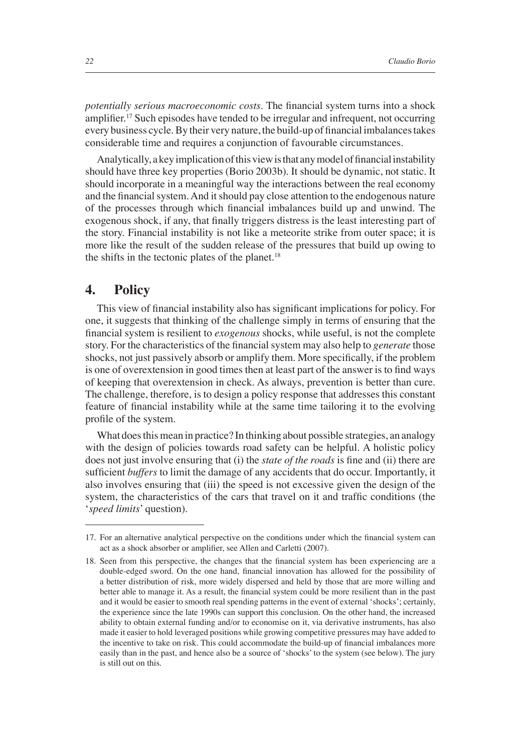*potentially serious macroeconomic costs*. The financial system turns into a shock amplifier.<sup>17</sup> Such episodes have tended to be irregular and infrequent, not occurring every business cycle. By their very nature, the build-up of financial imbalances takes considerable time and requires a conjunction of favourable circumstances.

Analytically, a key implication of this view is that any model of financial instability should have three key properties (Borio 2003b). It should be dynamic, not static. It should incorporate in a meaningful way the interactions between the real economy and the financial system. And it should pay close attention to the endogenous nature of the processes through which financial imbalances build up and unwind. The exogenous shock, if any, that finally triggers distress is the least interesting part of the story. Financial instability is not like a meteorite strike from outer space; it is more like the result of the sudden release of the pressures that build up owing to the shifts in the tectonic plates of the planet. $18$ 

#### **4. Policy**

This view of financial instability also has significant implications for policy. For one, it suggests that thinking of the challenge simply in terms of ensuring that the financial system is resilient to *exogenous* shocks, while useful, is not the complete story. For the characteristics of the financial system may also help to *generate* those shocks, not just passively absorb or amplify them. More specifically, if the problem is one of overextension in good times then at least part of the answer is to find ways of keeping that overextension in check. As always, prevention is better than cure. The challenge, therefore, is to design a policy response that addresses this constant feature of financial instability while at the same time tailoring it to the evolving profile of the system.

What does this mean in practice? In thinking about possible strategies, an analogy with the design of policies towards road safety can be helpful. A holistic policy does not just involve ensuring that (i) the *state of the roads* is fine and (ii) there are sufficient *buffers* to limit the damage of any accidents that do occur. Importantly, it also involves ensuring that (iii) the speed is not excessive given the design of the system, the characteristics of the cars that travel on it and traffic conditions (the '*speed limits*' question).

<sup>17.</sup> For an alternative analytical perspective on the conditions under which the financial system can act as a shock absorber or amplifier, see Allen and Carletti (2007).

<sup>18.</sup> Seen from this perspective, the changes that the financial system has been experiencing are a double-edged sword. On the one hand, financial innovation has allowed for the possibility of a better distribution of risk, more widely dispersed and held by those that are more willing and better able to manage it. As a result, the financial system could be more resilient than in the past and it would be easier to smooth real spending patterns in the event of external 'shocks'; certainly, the experience since the late 1990s can support this conclusion. On the other hand, the increased ability to obtain external funding and/or to economise on it, via derivative instruments, has also made it easier to hold leveraged positions while growing competitive pressures may have added to the incentive to take on risk. This could accommodate the build-up of financial imbalances more easily than in the past, and hence also be a source of 'shocks' to the system (see below). The jury is still out on this.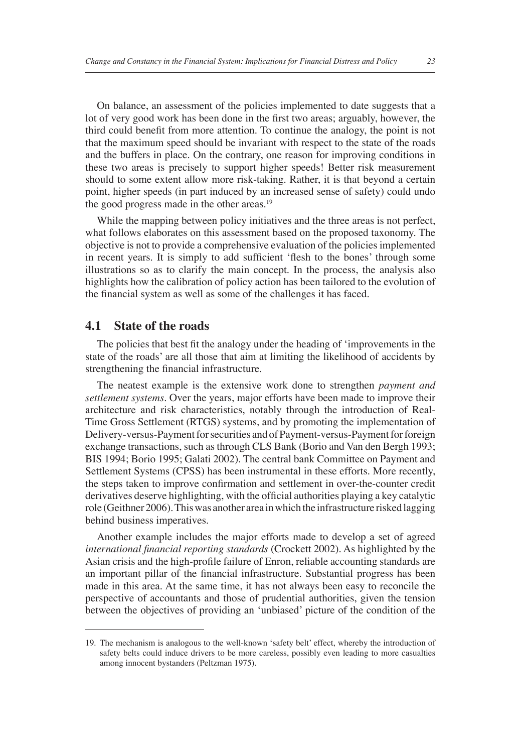On balance, an assessment of the policies implemented to date suggests that a lot of very good work has been done in the first two areas; arguably, however, the third could benefit from more attention. To continue the analogy, the point is not that the maximum speed should be invariant with respect to the state of the roads and the buffers in place. On the contrary, one reason for improving conditions in these two areas is precisely to support higher speeds! Better risk measurement should to some extent allow more risk-taking. Rather, it is that beyond a certain point, higher speeds (in part induced by an increased sense of safety) could undo the good progress made in the other areas.<sup>19</sup>

While the mapping between policy initiatives and the three areas is not perfect, what follows elaborates on this assessment based on the proposed taxonomy. The objective is not to provide a comprehensive evaluation of the policies implemented in recent years. It is simply to add sufficient 'flesh to the bones' through some illustrations so as to clarify the main concept. In the process, the analysis also highlights how the calibration of policy action has been tailored to the evolution of the financial system as well as some of the challenges it has faced.

#### **4.1 State of the roads**

The policies that best fit the analogy under the heading of 'improvements in the state of the roads' are all those that aim at limiting the likelihood of accidents by strengthening the financial infrastructure.

The neatest example is the extensive work done to strengthen *payment and settlement systems.* Over the years, major efforts have been made to improve their architecture and risk characteristics, notably through the introduction of Real-Time Gross Settlement (RTGS) systems, and by promoting the implementation of Delivery-versus-Payment for securities and of Payment-versus-Payment for foreign exchange transactions, such as through CLS Bank (Borio and Van den Bergh 1993; BIS 1994; Borio 1995; Galati 2002). The central bank Committee on Payment and Settlement Systems (CPSS) has been instrumental in these efforts. More recently, the steps taken to improve confirmation and settlement in over-the-counter credit derivatives deserve highlighting, with the official authorities playing a key catalytic role (Geithner 2006). This was another area in which the infrastructure risked lagging behind business imperatives.

Another example includes the major efforts made to develop a set of agreed international financial reporting standards (Crockett 2002). As highlighted by the Asian crisis and the high-profile failure of Enron, reliable accounting standards are an important pillar of the financial infrastructure. Substantial progress has been made in this area. At the same time, it has not always been easy to reconcile the perspective of accountants and those of prudential authorities, given the tension between the objectives of providing an 'unbiased' picture of the condition of the

<sup>19.</sup> The mechanism is analogous to the well-known 'safety belt' effect, whereby the introduction of safety belts could induce drivers to be more careless, possibly even leading to more casualties among innocent bystanders (Peltzman 1975).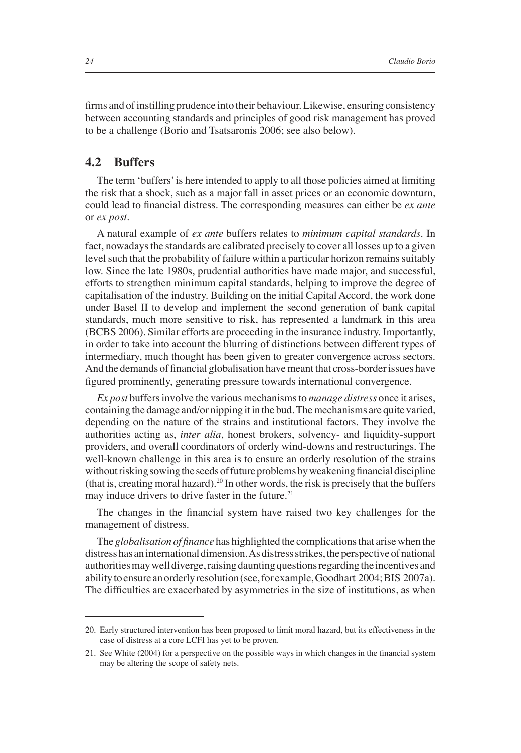firms and of instilling prudence into their behaviour. Likewise, ensuring consistency between accounting standards and principles of good risk management has proved to be a challenge (Borio and Tsatsaronis 2006; see also below).

#### **4.2 Buffers**

The term 'buffers' is here intended to apply to all those policies aimed at limiting the risk that a shock, such as a major fall in asset prices or an economic downturn, could lead to financial distress. The corresponding measures can either be *ex ante* or *ex post*.

A natural example of *ex ante* buffers relates to *minimum capital standards*. In fact, nowadays the standards are calibrated precisely to cover all losses up to a given level such that the probability of failure within a particular horizon remains suitably low. Since the late 1980s, prudential authorities have made major, and successful, efforts to strengthen minimum capital standards, helping to improve the degree of capitalisation of the industry. Building on the initial Capital Accord, the work done under Basel II to develop and implement the second generation of bank capital standards, much more sensitive to risk, has represented a landmark in this area (BCBS 2006). Similar efforts are proceeding in the insurance industry. Importantly, in order to take into account the blurring of distinctions between different types of intermediary, much thought has been given to greater convergence across sectors. And the demands of financial globalisation have meant that cross-border issues have figured prominently, generating pressure towards international convergence.

*Ex post* buffers involve the various mechanisms to *manage distress* once it arises, containing the damage and/or nipping it in the bud. The mechanisms are quite varied, depending on the nature of the strains and institutional factors. They involve the authorities acting as, *inter alia*, honest brokers, solvency- and liquidity-support providers, and overall coordinators of orderly wind-downs and restructurings. The well-known challenge in this area is to ensure an orderly resolution of the strains without risking sowing the seeds of future problems by weakening financial discipline (that is, creating moral hazard).<sup>20</sup> In other words, the risk is precisely that the buffers may induce drivers to drive faster in the future.<sup>21</sup>

The changes in the financial system have raised two key challenges for the management of distress.

The *globalisation of finance* has highlighted the complications that arise when the distress has an international dimension. As distress strikes, the perspective of national authorities may well diverge, raising daunting questions regarding the incentives and ability to ensure an orderly resolution (see, for example, Goodhart 2004; BIS 2007a). The difficulties are exacerbated by asymmetries in the size of institutions, as when

<sup>20.</sup> Early structured intervention has been proposed to limit moral hazard, but its effectiveness in the case of distress at a core LCFI has yet to be proven.

<sup>21.</sup> See White (2004) for a perspective on the possible ways in which changes in the financial system may be altering the scope of safety nets.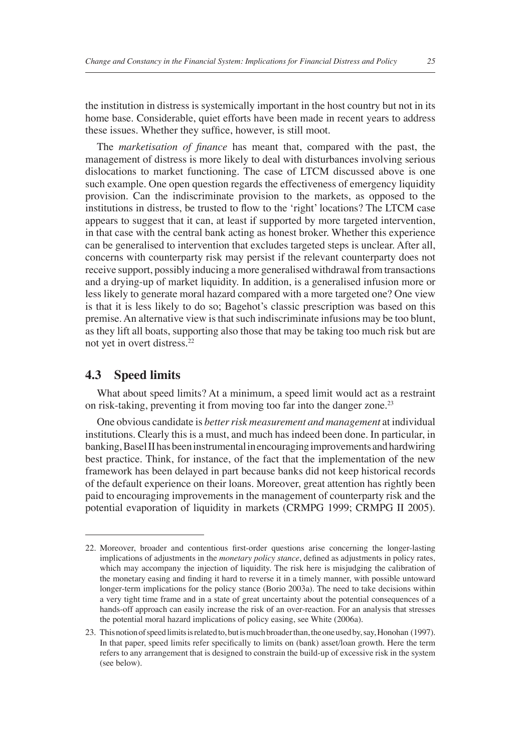the institution in distress is systemically important in the host country but not in its home base. Considerable, quiet efforts have been made in recent years to address these issues. Whether they suffice, however, is still moot.

The *marketisation of finance* has meant that, compared with the past, the management of distress is more likely to deal with disturbances involving serious dislocations to market functioning. The case of LTCM discussed above is one such example. One open question regards the effectiveness of emergency liquidity provision. Can the indiscriminate provision to the markets, as opposed to the institutions in distress, be trusted to flow to the 'right' locations? The LTCM case appears to suggest that it can, at least if supported by more targeted intervention, in that case with the central bank acting as honest broker. Whether this experience can be generalised to intervention that excludes targeted steps is unclear. After all, concerns with counterparty risk may persist if the relevant counterparty does not receive support, possibly inducing a more generalised withdrawal from transactions and a drying-up of market liquidity. In addition, is a generalised infusion more or less likely to generate moral hazard compared with a more targeted one? One view is that it is less likely to do so; Bagehot's classic prescription was based on this premise. An alternative view is that such indiscriminate infusions may be too blunt, as they lift all boats, supporting also those that may be taking too much risk but are not yet in overt distress.22

#### **4.3 Speed limits**

What about speed limits? At a minimum, a speed limit would act as a restraint on risk-taking, preventing it from moving too far into the danger zone.<sup>23</sup>

One obvious candidate is *better risk measurement and management* at individual institutions. Clearly this is a must, and much has indeed been done. In particular, in banking, Basel II has been instrumental in encouraging improvements and hardwiring best practice. Think, for instance, of the fact that the implementation of the new framework has been delayed in part because banks did not keep historical records of the default experience on their loans. Moreover, great attention has rightly been paid to encouraging improvements in the management of counterparty risk and the potential evaporation of liquidity in markets (CRMPG 1999; CRMPG II 2005).

<sup>22.</sup> Moreover, broader and contentious first-order questions arise concerning the longer-lasting implications of adjustments in the *monetary policy stance*, defined as adjustments in policy rates, which may accompany the injection of liquidity. The risk here is misjudging the calibration of the monetary easing and finding it hard to reverse it in a timely manner, with possible untoward longer-term implications for the policy stance (Borio 2003a). The need to take decisions within a very tight time frame and in a state of great uncertainty about the potential consequences of a hands-off approach can easily increase the risk of an over-reaction. For an analysis that stresses the potential moral hazard implications of policy easing, see White (2006a).

<sup>23.</sup> This notion of speed limits is related to, but is much broader than, the one used by, say, Honohan (1997). In that paper, speed limits refer specifically to limits on (bank) asset/loan growth. Here the term refers to any arrangement that is designed to constrain the build-up of excessive risk in the system (see below).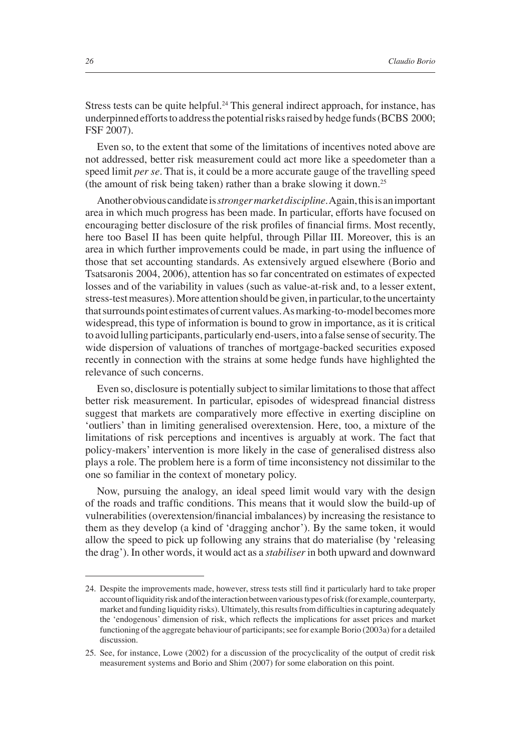Stress tests can be quite helpful.<sup>24</sup> This general indirect approach, for instance, has underpinned efforts to address the potential risks raised by hedge funds (BCBS 2000; FSF 2007).

Even so, to the extent that some of the limitations of incentives noted above are not addressed, better risk measurement could act more like a speedometer than a speed limit *per se*. That is, it could be a more accurate gauge of the travelling speed (the amount of risk being taken) rather than a brake slowing it down.25

Another obvious candidate is *stronger market discipline.* Again, this is an important area in which much progress has been made. In particular, efforts have focused on encouraging better disclosure of the risk profiles of financial firms. Most recently, here too Basel II has been quite helpful, through Pillar III. Moreover, this is an area in which further improvements could be made, in part using the influence of those that set accounting standards. As extensively argued elsewhere (Borio and Tsatsaronis 2004, 2006), attention has so far concentrated on estimates of expected losses and of the variability in values (such as value-at-risk and, to a lesser extent, stress-test measures). More attention should be given, in particular, to the uncertainty that surrounds point estimates of current values. As marking-to-model becomes more widespread, this type of information is bound to grow in importance, as it is critical to avoid lulling participants, particularly end-users, into a false sense of security. The wide dispersion of valuations of tranches of mortgage-backed securities exposed recently in connection with the strains at some hedge funds have highlighted the relevance of such concerns.

Even so, disclosure is potentially subject to similar limitations to those that affect better risk measurement. In particular, episodes of widespread financial distress suggest that markets are comparatively more effective in exerting discipline on 'outliers' than in limiting generalised overextension. Here, too, a mixture of the limitations of risk perceptions and incentives is arguably at work. The fact that policy-makers' intervention is more likely in the case of generalised distress also plays a role. The problem here is a form of time inconsistency not dissimilar to the one so familiar in the context of monetary policy.

Now, pursuing the analogy, an ideal speed limit would vary with the design of the roads and traffic conditions. This means that it would slow the build-up of vulnerabilities (overextension/financial imbalances) by increasing the resistance to them as they develop (a kind of 'dragging anchor'). By the same token, it would allow the speed to pick up following any strains that do materialise (by 'releasing the drag'). In other words, it would act as a *stabiliser* in both upward and downward

<sup>24.</sup> Despite the improvements made, however, stress tests still find it particularly hard to take proper account of liquidity risk and of the interaction between various types of risk (for example, counterparty, market and funding liquidity risks). Ultimately, this results from difficulties in capturing adequately the 'endogenous' dimension of risk, which reflects the implications for asset prices and market functioning of the aggregate behaviour of participants; see for example Borio (2003a) for a detailed discussion.

<sup>25.</sup> See, for instance, Lowe (2002) for a discussion of the procyclicality of the output of credit risk measurement systems and Borio and Shim (2007) for some elaboration on this point.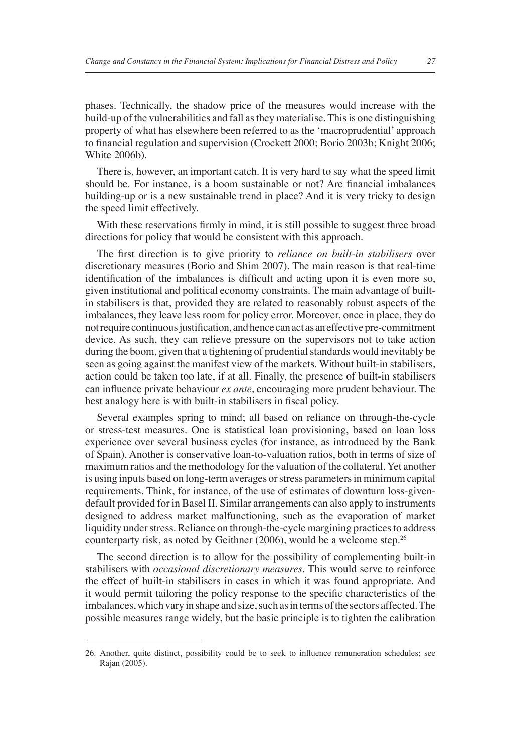phases. Technically, the shadow price of the measures would increase with the build-up of the vulnerabilities and fall as they materialise. This is one distinguishing property of what has elsewhere been referred to as the 'macroprudential' approach to financial regulation and supervision (Crockett 2000; Borio 2003b; Knight 2006; White 2006b).

There is, however, an important catch. It is very hard to say what the speed limit should be. For instance, is a boom sustainable or not? Are financial imbalances building-up or is a new sustainable trend in place? And it is very tricky to design the speed limit effectively.

With these reservations firmly in mind, it is still possible to suggest three broad directions for policy that would be consistent with this approach.

The first direction is to give priority to *reliance on built-in stabilisers* over discretionary measures (Borio and Shim 2007). The main reason is that real-time identification of the imbalances is difficult and acting upon it is even more so, given institutional and political economy constraints. The main advantage of builtin stabilisers is that, provided they are related to reasonably robust aspects of the imbalances, they leave less room for policy error. Moreover, once in place, they do not require continuous justification, and hence can act as an effective pre-commitment device. As such, they can relieve pressure on the supervisors not to take action during the boom, given that a tightening of prudential standards would inevitably be seen as going against the manifest view of the markets. Without built-in stabilisers, action could be taken too late, if at all. Finally, the presence of built-in stabilisers can influence private behaviour *ex ante*, encouraging more prudent behaviour. The best analogy here is with built-in stabilisers in fiscal policy.

Several examples spring to mind; all based on reliance on through-the-cycle or stress-test measures. One is statistical loan provisioning, based on loan loss experience over several business cycles (for instance, as introduced by the Bank of Spain). Another is conservative loan-to-valuation ratios, both in terms of size of maximum ratios and the methodology for the valuation of the collateral. Yet another is using inputs based on long-term averages or stress parameters in minimum capital requirements. Think, for instance, of the use of estimates of downturn loss-givendefault provided for in Basel II. Similar arrangements can also apply to instruments designed to address market malfunctioning, such as the evaporation of market liquidity under stress. Reliance on through-the-cycle margining practices to address counterparty risk, as noted by Geithner (2006), would be a welcome step.26

The second direction is to allow for the possibility of complementing built-in stabilisers with *occasional discretionary measures*. This would serve to reinforce the effect of built-in stabilisers in cases in which it was found appropriate. And it would permit tailoring the policy response to the specific characteristics of the imbalances, which vary in shape and size, such as in terms of the sectors affected. The possible measures range widely, but the basic principle is to tighten the calibration

<sup>26.</sup> Another, quite distinct, possibility could be to seek to influence remuneration schedules; see Rajan (2005).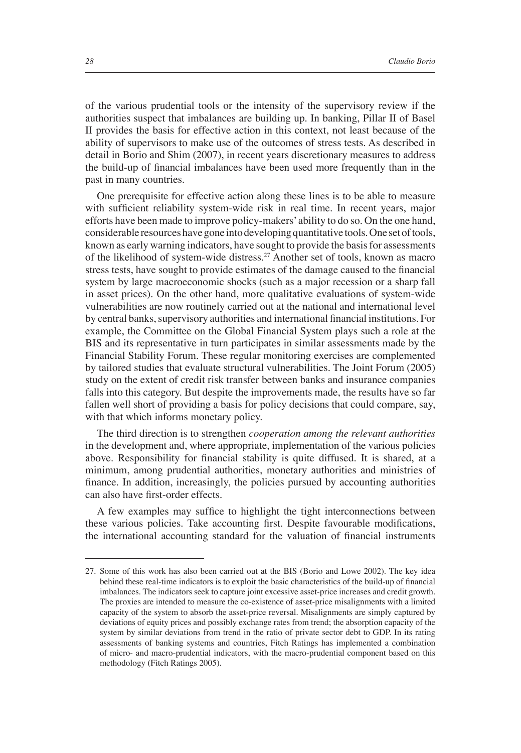of the various prudential tools or the intensity of the supervisory review if the authorities suspect that imbalances are building up. In banking, Pillar II of Basel II provides the basis for effective action in this context, not least because of the ability of supervisors to make use of the outcomes of stress tests. As described in detail in Borio and Shim (2007), in recent years discretionary measures to address the build-up of financial imbalances have been used more frequently than in the past in many countries.

One prerequisite for effective action along these lines is to be able to measure with sufficient reliability system-wide risk in real time. In recent years, major efforts have been made to improve policy-makers' ability to do so. On the one hand, considerable resources have gone into developing quantitative tools. One set of tools, known as early warning indicators, have sought to provide the basis for assessments of the likelihood of system-wide distress.<sup>27</sup> Another set of tools, known as macro stress tests, have sought to provide estimates of the damage caused to the financial system by large macroeconomic shocks (such as a major recession or a sharp fall in asset prices). On the other hand, more qualitative evaluations of system-wide vulnerabilities are now routinely carried out at the national and international level by central banks, supervisory authorities and international financial institutions. For example, the Committee on the Global Financial System plays such a role at the BIS and its representative in turn participates in similar assessments made by the Financial Stability Forum. These regular monitoring exercises are complemented by tailored studies that evaluate structural vulnerabilities. The Joint Forum (2005) study on the extent of credit risk transfer between banks and insurance companies falls into this category. But despite the improvements made, the results have so far fallen well short of providing a basis for policy decisions that could compare, say, with that which informs monetary policy.

The third direction is to strengthen *cooperation among the relevant authorities* in the development and, where appropriate, implementation of the various policies above. Responsibility for financial stability is quite diffused. It is shared, at a minimum, among prudential authorities, monetary authorities and ministries of finance. In addition, increasingly, the policies pursued by accounting authorities can also have first-order effects.

A few examples may suffice to highlight the tight interconnections between these various policies. Take accounting first. Despite favourable modifications, the international accounting standard for the valuation of financial instruments

<sup>27.</sup> Some of this work has also been carried out at the BIS (Borio and Lowe 2002). The key idea behind these real-time indicators is to exploit the basic characteristics of the build-up of financial imbalances. The indicators seek to capture joint excessive asset-price increases and credit growth. The proxies are intended to measure the co-existence of asset-price misalignments with a limited capacity of the system to absorb the asset-price reversal. Misalignments are simply captured by deviations of equity prices and possibly exchange rates from trend; the absorption capacity of the system by similar deviations from trend in the ratio of private sector debt to GDP. In its rating assessments of banking systems and countries, Fitch Ratings has implemented a combination of micro- and macro-prudential indicators, with the macro-prudential component based on this methodology (Fitch Ratings 2005).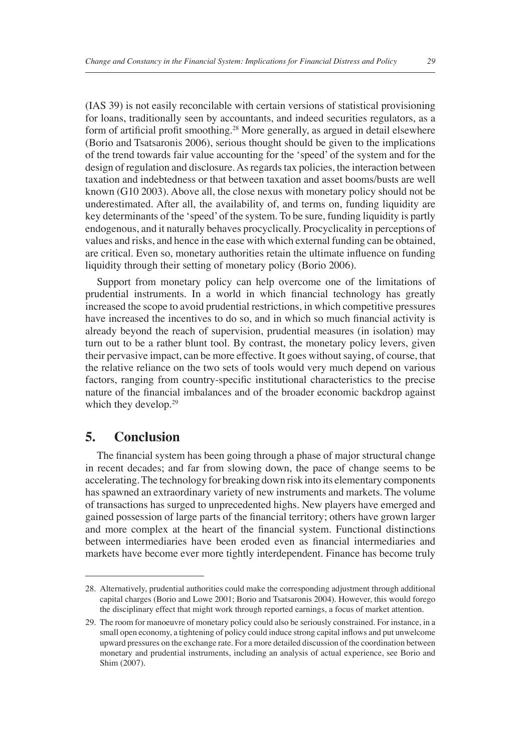(IAS 39) is not easily reconcilable with certain versions of statistical provisioning for loans, traditionally seen by accountants, and indeed securities regulators, as a form of artificial profit smoothing.<sup>28</sup> More generally, as argued in detail elsewhere (Borio and Tsatsaronis 2006), serious thought should be given to the implications of the trend towards fair value accounting for the 'speed' of the system and for the design of regulation and disclosure. As regards tax policies, the interaction between taxation and indebtedness or that between taxation and asset booms/busts are well known (G10 2003). Above all, the close nexus with monetary policy should not be underestimated. After all, the availability of, and terms on, funding liquidity are key determinants of the 'speed' of the system. To be sure, funding liquidity is partly endogenous, and it naturally behaves procyclically. Procyclicality in perceptions of values and risks, and hence in the ease with which external funding can be obtained, are critical. Even so, monetary authorities retain the ultimate influence on funding liquidity through their setting of monetary policy (Borio 2006).

Support from monetary policy can help overcome one of the limitations of prudential instruments. In a world in which financial technology has greatly increased the scope to avoid prudential restrictions, in which competitive pressures have increased the incentives to do so, and in which so much financial activity is already beyond the reach of supervision, prudential measures (in isolation) may turn out to be a rather blunt tool. By contrast, the monetary policy levers, given their pervasive impact, can be more effective. It goes without saying, of course, that the relative reliance on the two sets of tools would very much depend on various factors, ranging from country-specific institutional characteristics to the precise nature of the financial imbalances and of the broader economic backdrop against which they develop.<sup>29</sup>

## **5. Conclusion**

The financial system has been going through a phase of major structural change in recent decades; and far from slowing down, the pace of change seems to be accelerating. The technology for breaking down risk into its elementary components has spawned an extraordinary variety of new instruments and markets. The volume of transactions has surged to unprecedented highs. New players have emerged and gained possession of large parts of the financial territory; others have grown larger and more complex at the heart of the financial system. Functional distinctions between intermediaries have been eroded even as financial intermediaries and markets have become ever more tightly interdependent. Finance has become truly

<sup>28.</sup> Alternatively, prudential authorities could make the corresponding adjustment through additional capital charges (Borio and Lowe 2001; Borio and Tsatsaronis 2004). However, this would forego the disciplinary effect that might work through reported earnings, a focus of market attention.

<sup>29.</sup> The room for manoeuvre of monetary policy could also be seriously constrained. For instance, in a small open economy, a tightening of policy could induce strong capital inflows and put unwelcome upward pressures on the exchange rate. For a more detailed discussion of the coordination between monetary and prudential instruments, including an analysis of actual experience, see Borio and Shim (2007).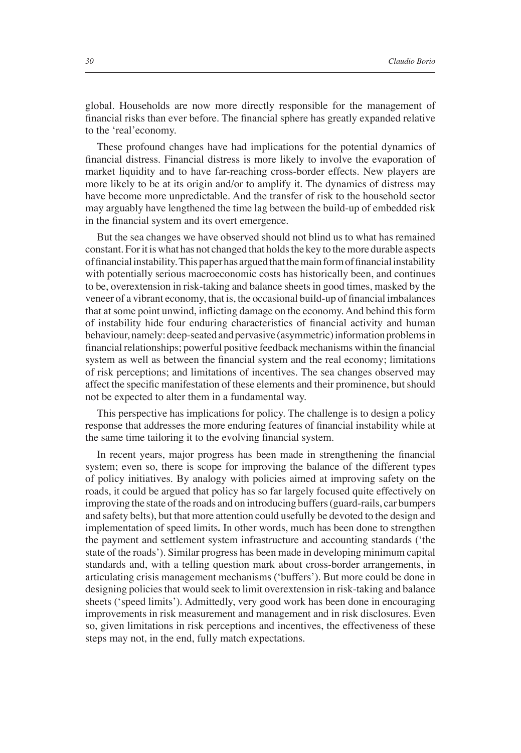global. Households are now more directly responsible for the management of financial risks than ever before. The financial sphere has greatly expanded relative to the 'real'economy.

These profound changes have had implications for the potential dynamics of financial distress. Financial distress is more likely to involve the evaporation of market liquidity and to have far-reaching cross-border effects. New players are more likely to be at its origin and/or to amplify it. The dynamics of distress may have become more unpredictable. And the transfer of risk to the household sector may arguably have lengthened the time lag between the build-up of embedded risk in the financial system and its overt emergence.

But the sea changes we have observed should not blind us to what has remained constant. For it is what has not changed that holds the key to the more durable aspects of financial instability. This paper has argued that the main form of financial instability with potentially serious macroeconomic costs has historically been, and continues to be, overextension in risk-taking and balance sheets in good times, masked by the veneer of a vibrant economy, that is, the occasional build-up of financial imbalances that at some point unwind, inflicting damage on the economy. And behind this form of instability hide four enduring characteristics of financial activity and human behaviour, namely: deep-seated and pervasive (asymmetric) information problems in financial relationships; powerful positive feedback mechanisms within the financial system as well as between the financial system and the real economy; limitations of risk perceptions; and limitations of incentives. The sea changes observed may affect the specific manifestation of these elements and their prominence, but should not be expected to alter them in a fundamental way.

This perspective has implications for policy. The challenge is to design a policy response that addresses the more enduring features of financial instability while at the same time tailoring it to the evolving financial system.

In recent years, major progress has been made in strengthening the financial system; even so, there is scope for improving the balance of the different types of policy initiatives. By analogy with policies aimed at improving safety on the roads, it could be argued that policy has so far largely focused quite effectively on improving the state of the roads and on introducing buffers (guard-rails, car bumpers and safety belts), but that more attention could usefully be devoted to the design and implementation of speed limits*.* In other words, much has been done to strengthen the payment and settlement system infrastructure and accounting standards ('the state of the roads'). Similar progress has been made in developing minimum capital standards and, with a telling question mark about cross-border arrangements, in articulating crisis management mechanisms ('buffers'). But more could be done in designing policies that would seek to limit overextension in risk-taking and balance sheets ('speed limits'). Admittedly, very good work has been done in encouraging improvements in risk measurement and management and in risk disclosures. Even so, given limitations in risk perceptions and incentives, the effectiveness of these steps may not, in the end, fully match expectations.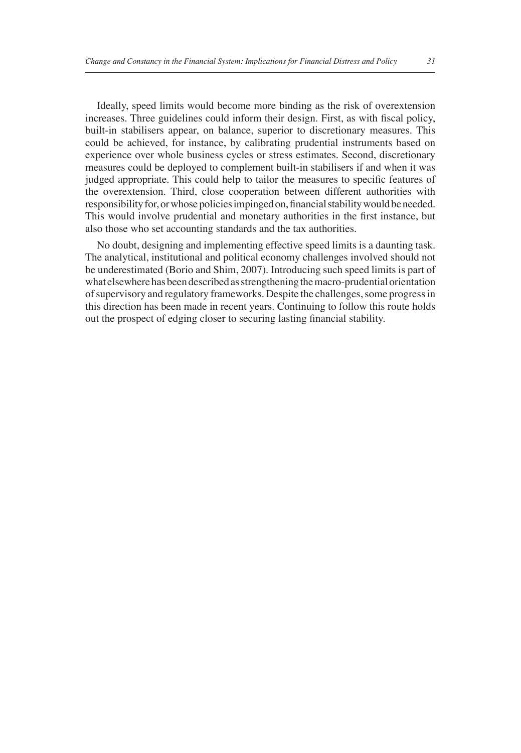Ideally, speed limits would become more binding as the risk of overextension increases. Three guidelines could inform their design. First, as with fiscal policy, built-in stabilisers appear, on balance, superior to discretionary measures. This could be achieved, for instance, by calibrating prudential instruments based on experience over whole business cycles or stress estimates. Second, discretionary measures could be deployed to complement built-in stabilisers if and when it was judged appropriate. This could help to tailor the measures to specific features of the overextension. Third, close cooperation between different authorities with responsibility for, or whose policies impinged on, financial stability would be needed. This would involve prudential and monetary authorities in the first instance, but also those who set accounting standards and the tax authorities.

No doubt, designing and implementing effective speed limits is a daunting task. The analytical, institutional and political economy challenges involved should not be underestimated (Borio and Shim, 2007). Introducing such speed limits is part of what elsewhere has been described as strengthening the macro-prudential orientation of supervisory and regulatory frameworks. Despite the challenges, some progress in this direction has been made in recent years. Continuing to follow this route holds out the prospect of edging closer to securing lasting financial stability.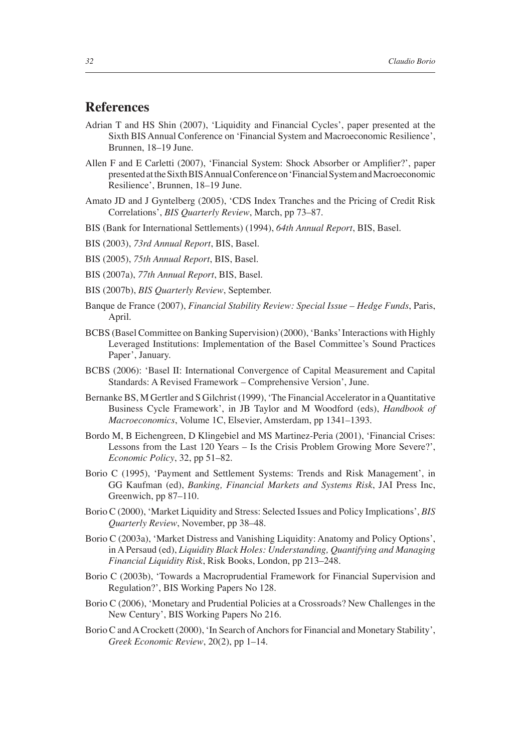## **References**

- Adrian T and HS Shin (2007), 'Liquidity and Financial Cycles', paper presented at the Sixth BIS Annual Conference on 'Financial System and Macroeconomic Resilience', Brunnen, 18–19 June.
- Allen F and E Carletti (2007), 'Financial System: Shock Absorber or Amplifier?', paper presented at the Sixth BIS Annual Conference on 'Financial System and Macroeconomic Resilience', Brunnen, 18–19 June.
- Amato JD and J Gyntelberg (2005), 'CDS Index Tranches and the Pricing of Credit Risk Correlations', *BIS Quarterly Review*, March, pp 73–87.
- BIS (Bank for International Settlements) (1994), *64th Annual Report*, BIS, Basel.
- BIS (2003), *73rd Annual Report*, BIS, Basel.
- BIS (2005), *75th Annual Report*, BIS, Basel.
- BIS (2007a), *77th Annual Report*, BIS, Basel.
- BIS (2007b), *BIS Quarterly Review*, September.
- Banque de France (2007), *Financial Stability Review: Special Issue Hedge Funds*, Paris, April.
- BCBS (Basel Committee on Banking Supervision) (2000), 'Banks' Interactions with Highly Leveraged Institutions: Implementation of the Basel Committee's Sound Practices Paper', January.
- BCBS (2006): 'Basel II: International Convergence of Capital Measurement and Capital Standards: A Revised Framework – Comprehensive Version', June.
- Bernanke BS, M Gertler and S Gilchrist (1999), 'The Financial Accelerator in a Quantitative Business Cycle Framework', in JB Taylor and M Woodford (eds), *Handbook of Macroeconomics*, Volume 1C, Elsevier, Amsterdam, pp 1341–1393.
- Bordo M, B Eichengreen, D Klingebiel and MS Martinez-Peria (2001), 'Financial Crises: Lessons from the Last 120 Years – Is the Crisis Problem Growing More Severe?', *Economic Policy*, 32, pp 51–82.
- Borio C (1995), 'Payment and Settlement Systems: Trends and Risk Management', in GG Kaufman (ed), *Banking, Financial Markets and Systems Risk*, JAI Press Inc, Greenwich, pp 87–110.
- Borio C (2000), 'Market Liquidity and Stress: Selected Issues and Policy Implications', *BIS Quarterly Review*, November, pp 38–48.
- Borio C (2003a), 'Market Distress and Vanishing Liquidity: Anatomy and Policy Options', in A Persaud (ed), *Liquidity Black Holes: Understanding, Quantifying and Managing Financial Liquidity Risk*, Risk Books, London, pp 213–248.
- Borio C (2003b), 'Towards a Macroprudential Framework for Financial Supervision and Regulation?', BIS Working Papers No 128.
- Borio C (2006), 'Monetary and Prudential Policies at a Crossroads? New Challenges in the New Century', BIS Working Papers No 216.
- Borio C and A Crockett (2000), 'In Search of Anchors for Financial and Monetary Stability', *Greek Economic Review*, 20(2), pp 1–14.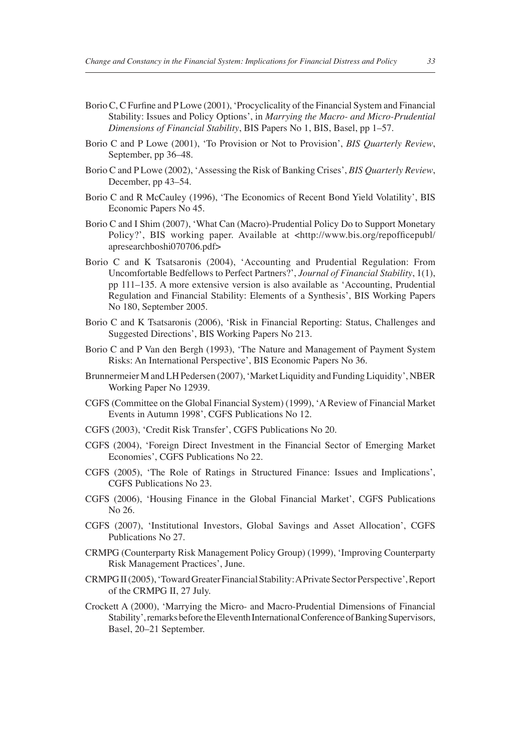- Borio C, C Furfine and P Lowe (2001), 'Procyclicality of the Financial System and Financial Stability: Issues and Policy Options', in *Marrying the Macro- and Micro-Prudential Dimensions of Financial Stability*, BIS Papers No 1, BIS, Basel, pp 1–57.
- Borio C and P Lowe (2001), 'To Provision or Not to Provision', *BIS Quarterly Review*, September, pp 36–48.
- Borio C and P Lowe (2002), 'Assessing the Risk of Banking Crises', *BIS Quarterly Review*, December, pp 43–54.
- Borio C and R McCauley (1996), 'The Economics of Recent Bond Yield Volatility', BIS Economic Papers No 45.
- Borio C and I Shim (2007), 'What Can (Macro)-Prudential Policy Do to Support Monetary Policy?', BIS working paper. Available at <http://www.bis.org/repofficepubl/ apresearchboshi070706.pdf>
- Borio C and K Tsatsaronis (2004), 'Accounting and Prudential Regulation: From Uncomfortable Bedfellows to Perfect Partners?', *Journal of Financial Stability*, 1(1), pp 111–135. A more extensive version is also available as 'Accounting, Prudential Regulation and Financial Stability: Elements of a Synthesis', BIS Working Papers No 180, September 2005.
- Borio C and K Tsatsaronis (2006), 'Risk in Financial Reporting: Status, Challenges and Suggested Directions', BIS Working Papers No 213.
- Borio C and P Van den Bergh (1993), 'The Nature and Management of Payment System Risks: An International Perspective', BIS Economic Papers No 36.
- Brunnermeier M and LH Pedersen (2007), 'Market Liquidity and Funding Liquidity', NBER Working Paper No 12939.
- CGFS (Committee on the Global Financial System) (1999), 'A Review of Financial Market Events in Autumn 1998', CGFS Publications No 12.
- CGFS (2003), 'Credit Risk Transfer', CGFS Publications No 20.
- CGFS (2004), 'Foreign Direct Investment in the Financial Sector of Emerging Market Economies', CGFS Publications No 22.
- CGFS (2005), 'The Role of Ratings in Structured Finance: Issues and Implications', CGFS Publications No 23.
- CGFS (2006), 'Housing Finance in the Global Financial Market', CGFS Publications No 26.
- CGFS (2007), 'Institutional Investors, Global Savings and Asset Allocation', CGFS Publications No 27.
- CRMPG (Counterparty Risk Management Policy Group) (1999), 'Improving Counterparty Risk Management Practices', June.
- CRMPG II (2005), 'Toward Greater Financial Stability: A Private Sector Perspective', Report of the CRMPG II, 27 July.
- Crockett A (2000), 'Marrying the Micro- and Macro-Prudential Dimensions of Financial Stability', remarks before the Eleventh International Conference of Banking Supervisors, Basel, 20–21 September.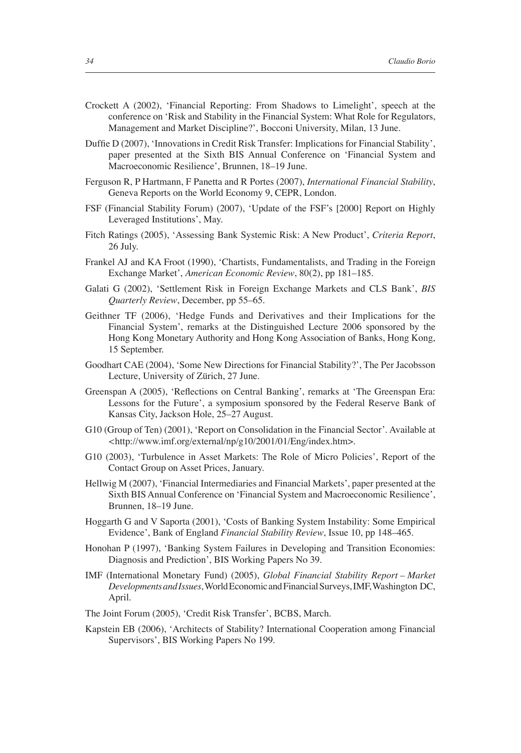- Crockett A (2002), 'Financial Reporting: From Shadows to Limelight', speech at the conference on 'Risk and Stability in the Financial System: What Role for Regulators, Management and Market Discipline?', Bocconi University, Milan, 13 June.
- Duffie D (2007), 'Innovations in Credit Risk Transfer: Implications for Financial Stability', paper presented at the Sixth BIS Annual Conference on 'Financial System and Macroeconomic Resilience', Brunnen, 18–19 June.
- Ferguson R, P Hartmann, F Panetta and R Portes (2007), *International Financial Stability*, Geneva Reports on the World Economy 9, CEPR, London.
- FSF (Financial Stability Forum) (2007), 'Update of the FSF's [2000] Report on Highly Leveraged Institutions', May.
- Fitch Ratings (2005), 'Assessing Bank Systemic Risk: A New Product', *Criteria Report*, 26 July.
- Frankel AJ and KA Froot (1990), 'Chartists, Fundamentalists, and Trading in the Foreign Exchange Market', *American Economic Review*, 80(2), pp 181–185.
- Galati G (2002), 'Settlement Risk in Foreign Exchange Markets and CLS Bank', *BIS Quarterly Review*, December, pp 55–65.
- Geithner TF (2006), 'Hedge Funds and Derivatives and their Implications for the Financial System', remarks at the Distinguished Lecture 2006 sponsored by the Hong Kong Monetary Authority and Hong Kong Association of Banks, Hong Kong, 15 September.
- Goodhart CAE (2004), 'Some New Directions for Financial Stability?', The Per Jacobsson Lecture, University of Zürich, 27 June.
- Greenspan A (2005), 'Reflections on Central Banking', remarks at 'The Greenspan Era: Lessons for the Future', a symposium sponsored by the Federal Reserve Bank of Kansas City, Jackson Hole, 25–27 August.
- G10 (Group of Ten) (2001), 'Report on Consolidation in the Financial Sector'. Available at *<*http://www.imf.org/external/np/g10/2001/01/Eng/index.htm>.
- G10 (2003), 'Turbulence in Asset Markets: The Role of Micro Policies', Report of the Contact Group on Asset Prices, January.
- Hellwig M (2007), 'Financial Intermediaries and Financial Markets', paper presented at the Sixth BIS Annual Conference on 'Financial System and Macroeconomic Resilience', Brunnen, 18–19 June.
- Hoggarth G and V Saporta (2001), 'Costs of Banking System Instability: Some Empirical Evidence', Bank of England *Financial Stability Review*, Issue 10, pp 148–465.
- Honohan P (1997), 'Banking System Failures in Developing and Transition Economies: Diagnosis and Prediction', BIS Working Papers No 39.
- IMF (International Monetary Fund) (2005), *Global Financial Stability Report Market Developments and Issues*, World Economic and Financial Surveys, IMF, Washington DC, April.
- The Joint Forum (2005), 'Credit Risk Transfer', BCBS, March.
- Kapstein EB (2006), 'Architects of Stability? International Cooperation among Financial Supervisors', BIS Working Papers No 199.